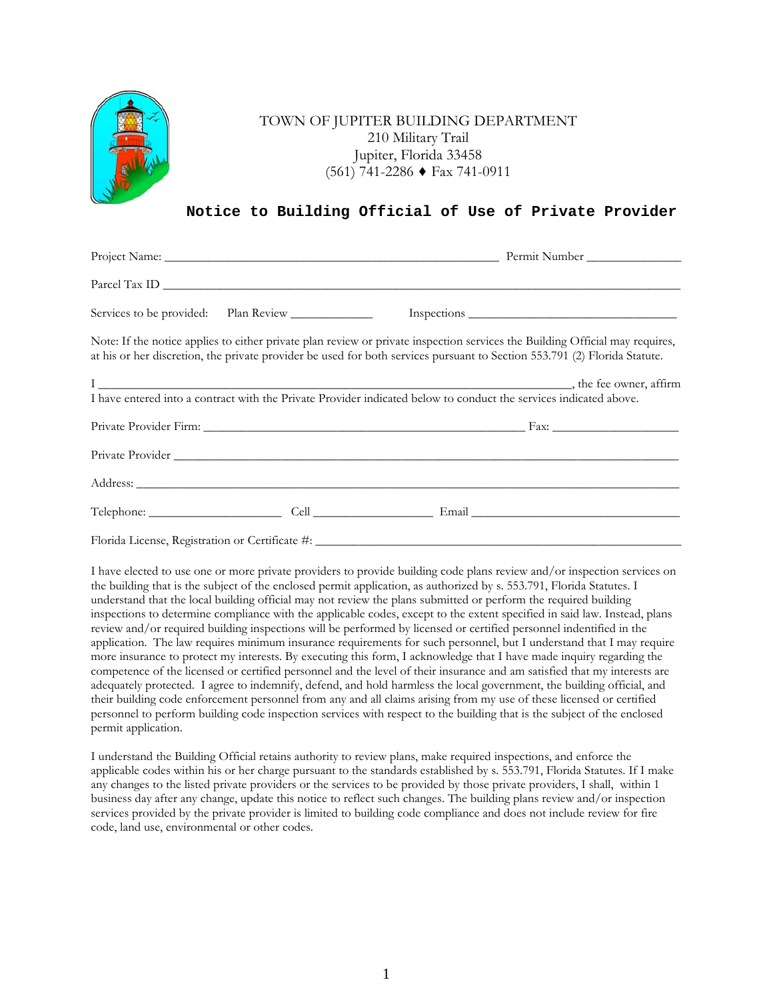

## TOWN OF JUPITER BUILDING DEPARTMENT 210 Military Trail Jupiter, Florida 33458 (561) 741-2286 ♦ Fax 741-0911

## **Notice to Building Official of Use of Private Provider**

| at his or her discretion, the private provider be used for both services pursuant to Section 553.791 (2) Florida Statute. | Note: If the notice applies to either private plan review or private inspection services the Building Official may requires, |
|---------------------------------------------------------------------------------------------------------------------------|------------------------------------------------------------------------------------------------------------------------------|
|                                                                                                                           |                                                                                                                              |
| I have entered into a contract with the Private Provider indicated below to conduct the services indicated above.         |                                                                                                                              |
|                                                                                                                           |                                                                                                                              |
|                                                                                                                           |                                                                                                                              |
|                                                                                                                           |                                                                                                                              |
|                                                                                                                           |                                                                                                                              |
|                                                                                                                           |                                                                                                                              |

I have elected to use one or more private providers to provide building code plans review and/or inspection services on the building that is the subject of the enclosed permit application, as authorized by s. 553.791, Florida Statutes. I understand that the local building official may not review the plans submitted or perform the required building inspections to determine compliance with the applicable codes, except to the extent specified in said law. Instead, plans review and/or required building inspections will be performed by licensed or certified personnel indentified in the application. The law requires minimum insurance requirements for such personnel, but I understand that I may require more insurance to protect my interests. By executing this form, I acknowledge that I have made inquiry regarding the competence of the licensed or certified personnel and the level of their insurance and am satisfied that my interests are adequately protected. I agree to indemnify, defend, and hold harmless the local government, the building official, and their building code enforcement personnel from any and all claims arising from my use of these licensed or certified personnel to perform building code inspection services with respect to the building that is the subject of the enclosed permit application.

I understand the Building Official retains authority to review plans, make required inspections, and enforce the applicable codes within his or her charge pursuant to the standards established by s. 553.791, Florida Statutes. If I make any changes to the listed private providers or the services to be provided by those private providers, I shall, within 1 business day after any change, update this notice to reflect such changes. The building plans review and/or inspection services provided by the private provider is limited to building code compliance and does not include review for fire code, land use, environmental or other codes.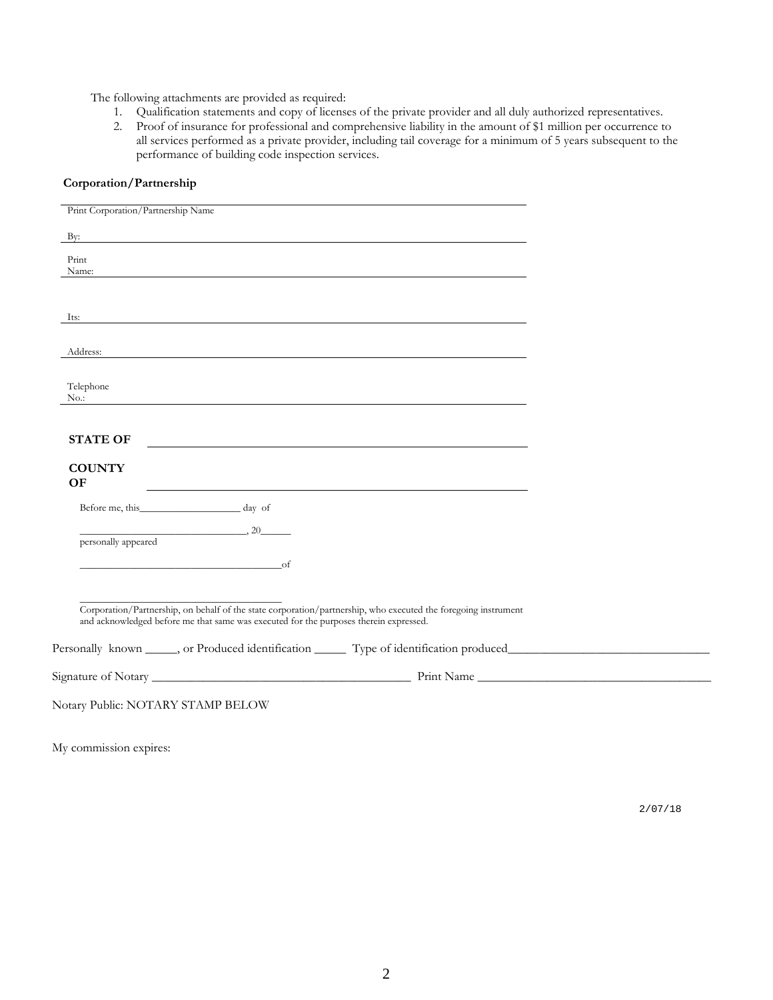The following attachments are provided as required:

- 1. Qualification statements and copy of licenses of the private provider and all duly authorized representatives.
- 2. Proof of insurance for professional and comprehensive liability in the amount of \$1 million per occurrence to all services performed as a private provider, including tail coverage for a minimum of 5 years subsequent to the performance of building code inspection services.

| Print Corporation/Partnership Name |                                                                                                                                                                                                                                      |                                                                                                                |  |
|------------------------------------|--------------------------------------------------------------------------------------------------------------------------------------------------------------------------------------------------------------------------------------|----------------------------------------------------------------------------------------------------------------|--|
| By:                                | <u>and the state of the state of the state of the state of the state of the state of the state of the state of the state of the state of the state of the state of the state of the state of the state of the state of the state</u> |                                                                                                                |  |
| Print<br>Name:                     |                                                                                                                                                                                                                                      |                                                                                                                |  |
| Its:                               |                                                                                                                                                                                                                                      |                                                                                                                |  |
| Address:                           |                                                                                                                                                                                                                                      |                                                                                                                |  |
| Telephone<br>$No.$ :               |                                                                                                                                                                                                                                      |                                                                                                                |  |
| <b>STATE OF</b>                    |                                                                                                                                                                                                                                      |                                                                                                                |  |
| <b>COUNTY</b><br>OF                |                                                                                                                                                                                                                                      |                                                                                                                |  |
|                                    | Before me, this day of                                                                                                                                                                                                               |                                                                                                                |  |
| personally appeared                | $\overline{\phantom{a}}$ , 20                                                                                                                                                                                                        |                                                                                                                |  |
|                                    | $\overline{\text{of}}$                                                                                                                                                                                                               |                                                                                                                |  |
|                                    | and acknowledged before me that same was executed for the purposes therein expressed.                                                                                                                                                | Corporation/Partnership, on behalf of the state corporation/partnership, who executed the foregoing instrument |  |
|                                    |                                                                                                                                                                                                                                      |                                                                                                                |  |
|                                    |                                                                                                                                                                                                                                      |                                                                                                                |  |
| Notary Public: NOTARY STAMP BELOW  |                                                                                                                                                                                                                                      |                                                                                                                |  |

**Corporation/Partnership**

My commission expires:

2/07/18